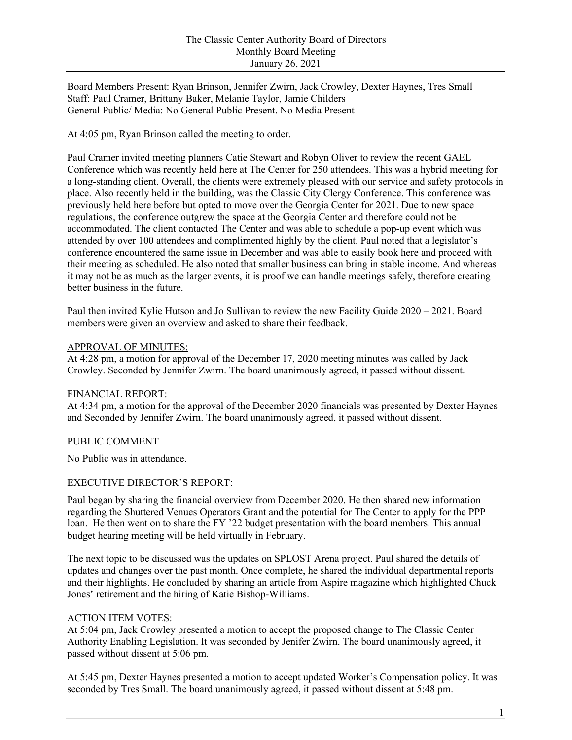Board Members Present: Ryan Brinson, Jennifer Zwirn, Jack Crowley, Dexter Haynes, Tres Small Staff: Paul Cramer, Brittany Baker, Melanie Taylor, Jamie Childers General Public/ Media: No General Public Present. No Media Present

At 4:05 pm, Ryan Brinson called the meeting to order.

Paul Cramer invited meeting planners Catie Stewart and Robyn Oliver to review the recent GAEL Conference which was recently held here at The Center for 250 attendees. This was a hybrid meeting for a long-standing client. Overall, the clients were extremely pleased with our service and safety protocols in place. Also recently held in the building, was the Classic City Clergy Conference. This conference was previously held here before but opted to move over the Georgia Center for 2021. Due to new space regulations, the conference outgrew the space at the Georgia Center and therefore could not be accommodated. The client contacted The Center and was able to schedule a pop-up event which was attended by over 100 attendees and complimented highly by the client. Paul noted that a legislator's conference encountered the same issue in December and was able to easily book here and proceed with their meeting as scheduled. He also noted that smaller business can bring in stable income. And whereas it may not be as much as the larger events, it is proof we can handle meetings safely, therefore creating better business in the future.

Paul then invited Kylie Hutson and Jo Sullivan to review the new Facility Guide 2020 – 2021. Board members were given an overview and asked to share their feedback.

#### APPROVAL OF MINUTES:

At 4:28 pm, a motion for approval of the December 17, 2020 meeting minutes was called by Jack Crowley. Seconded by Jennifer Zwirn. The board unanimously agreed, it passed without dissent.

#### FINANCIAL REPORT:

At 4:34 pm, a motion for the approval of the December 2020 financials was presented by Dexter Haynes and Seconded by Jennifer Zwirn. The board unanimously agreed, it passed without dissent.

#### PUBLIC COMMENT

No Public was in attendance.

#### EXECUTIVE DIRECTOR'S REPORT:

Paul began by sharing the financial overview from December 2020. He then shared new information regarding the Shuttered Venues Operators Grant and the potential for The Center to apply for the PPP loan. He then went on to share the FY '22 budget presentation with the board members. This annual budget hearing meeting will be held virtually in February.

The next topic to be discussed was the updates on SPLOST Arena project. Paul shared the details of updates and changes over the past month. Once complete, he shared the individual departmental reports and their highlights. He concluded by sharing an article from Aspire magazine which highlighted Chuck Jones' retirement and the hiring of Katie Bishop-Williams.

## ACTION ITEM VOTES:

At 5:04 pm, Jack Crowley presented a motion to accept the proposed change to The Classic Center Authority Enabling Legislation. It was seconded by Jenifer Zwirn. The board unanimously agreed, it passed without dissent at 5:06 pm.

At 5:45 pm, Dexter Haynes presented a motion to accept updated Worker's Compensation policy. It was seconded by Tres Small. The board unanimously agreed, it passed without dissent at 5:48 pm.